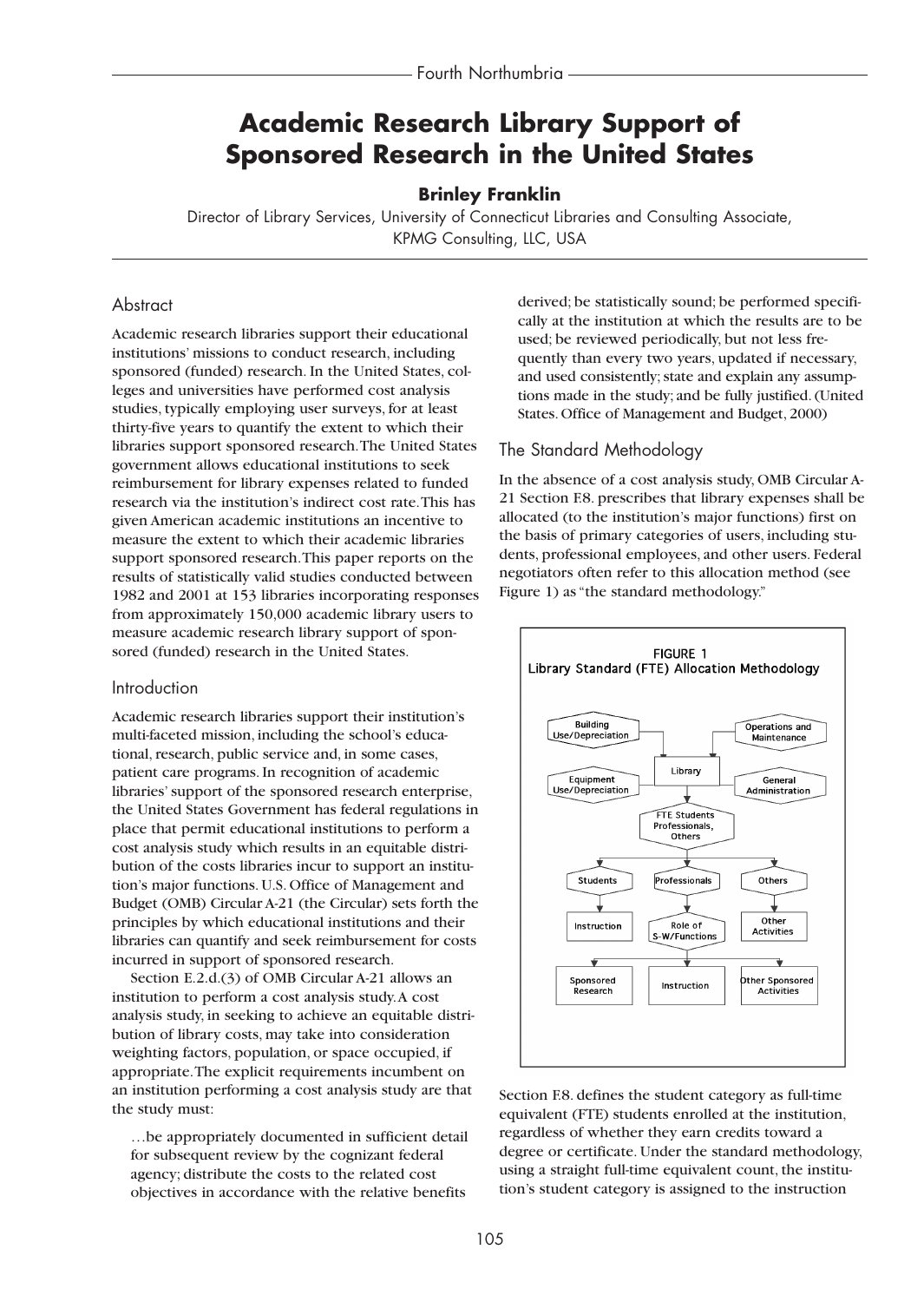# **Academic Research Library Support of Sponsored Research in the United States**

### **Brinley Franklin**

Director of Library Services, University of Connecticut Libraries and Consulting Associate, KPMG Consulting, LLC, USA

### **Abstract**

Academic research libraries support their educational institutions' missions to conduct research, including sponsored (funded) research. In the United States, colleges and universities have performed cost analysis studies, typically employing user surveys, for at least thirty-five years to quantify the extent to which their libraries support sponsored research.The United States government allows educational institutions to seek reimbursement for library expenses related to funded research via the institution's indirect cost rate.This has given American academic institutions an incentive to measure the extent to which their academic libraries support sponsored research.This paper reports on the results of statistically valid studies conducted between 1982 and 2001 at 153 libraries incorporating responses from approximately 150,000 academic library users to measure academic research library support of sponsored (funded) research in the United States.

#### Introduction

Academic research libraries support their institution's multi-faceted mission, including the school's educational, research, public service and, in some cases, patient care programs. In recognition of academic libraries' support of the sponsored research enterprise, the United States Government has federal regulations in place that permit educational institutions to perform a cost analysis study which results in an equitable distribution of the costs libraries incur to support an institution's major functions. U.S. Office of Management and Budget (OMB) Circular A-21 (the Circular) sets forth the principles by which educational institutions and their libraries can quantify and seek reimbursement for costs incurred in support of sponsored research.

Section E.2.d.(3) of OMB Circular A-21 allows an institution to perform a cost analysis study.A cost analysis study, in seeking to achieve an equitable distribution of library costs, may take into consideration weighting factors, population, or space occupied, if appropriate.The explicit requirements incumbent on an institution performing a cost analysis study are that the study must:

…be appropriately documented in sufficient detail for subsequent review by the cognizant federal agency; distribute the costs to the related cost objectives in accordance with the relative benefits

derived; be statistically sound; be performed specifically at the institution at which the results are to be used; be reviewed periodically, but not less frequently than every two years, updated if necessary, and used consistently; state and explain any assumptions made in the study; and be fully justified. (United States. Office of Management and Budget, 2000)

#### The Standard Methodology

In the absence of a cost analysis study, OMB Circular A-21 Section F.8. prescribes that library expenses shall be allocated (to the institution's major functions) first on the basis of primary categories of users, including students, professional employees, and other users. Federal negotiators often refer to this allocation method (see Figure 1) as "the standard methodology."



Section F.8. defines the student category as full-time equivalent (FTE) students enrolled at the institution, regardless of whether they earn credits toward a degree or certificate. Under the standard methodology, using a straight full-time equivalent count, the institution's student category is assigned to the instruction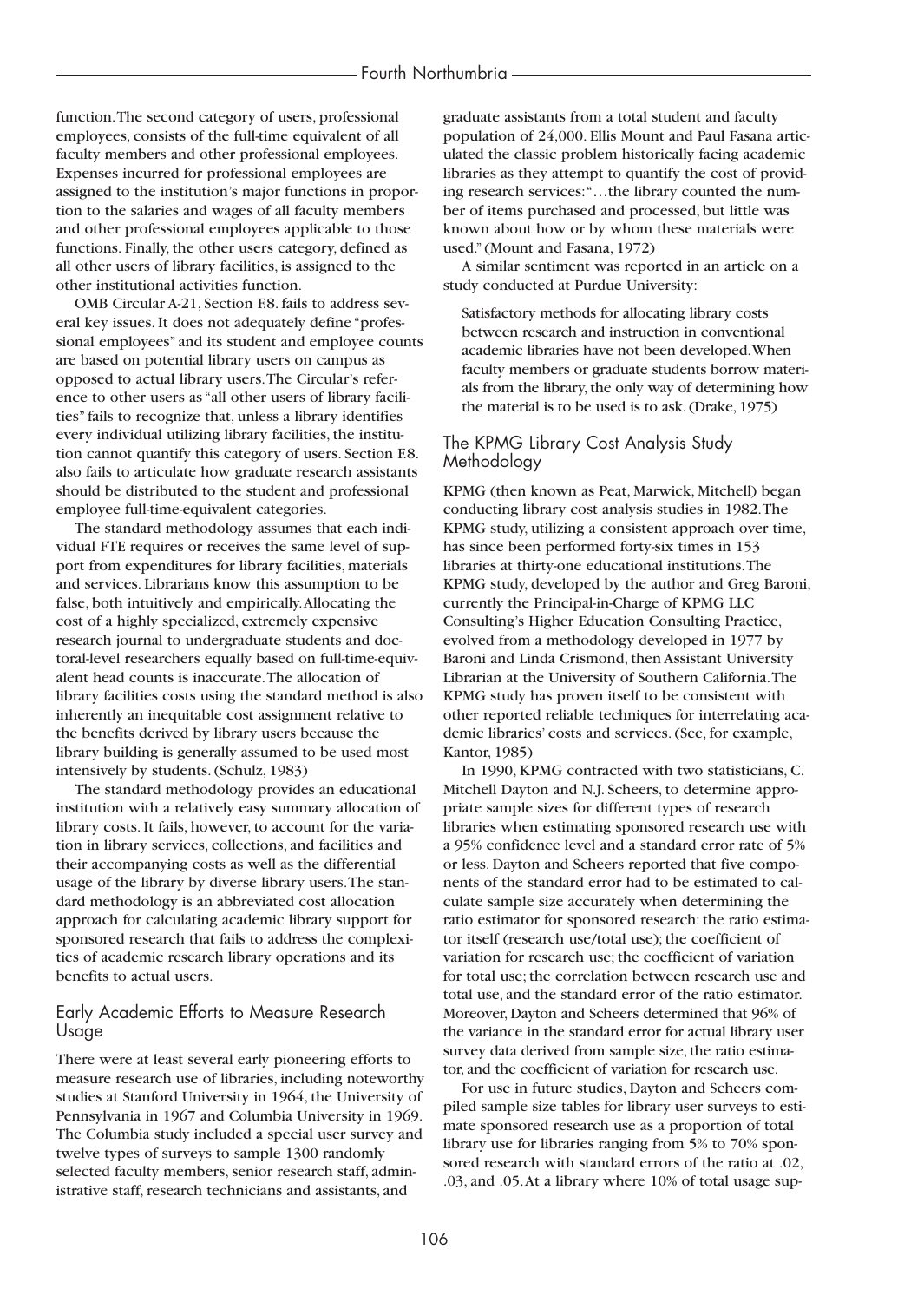function.The second category of users, professional employees, consists of the full-time equivalent of all faculty members and other professional employees. Expenses incurred for professional employees are assigned to the institution's major functions in proportion to the salaries and wages of all faculty members and other professional employees applicable to those functions. Finally, the other users category, defined as all other users of library facilities, is assigned to the other institutional activities function.

OMB Circular A-21, Section F.8. fails to address several key issues. It does not adequately define "professional employees" and its student and employee counts are based on potential library users on campus as opposed to actual library users.The Circular's reference to other users as "all other users of library facilities" fails to recognize that, unless a library identifies every individual utilizing library facilities, the institution cannot quantify this category of users. Section F.8. also fails to articulate how graduate research assistants should be distributed to the student and professional employee full-time-equivalent categories.

The standard methodology assumes that each individual FTE requires or receives the same level of support from expenditures for library facilities, materials and services. Librarians know this assumption to be false, both intuitively and empirically.Allocating the cost of a highly specialized, extremely expensive research journal to undergraduate students and doctoral-level researchers equally based on full-time-equivalent head counts is inaccurate.The allocation of library facilities costs using the standard method is also inherently an inequitable cost assignment relative to the benefits derived by library users because the library building is generally assumed to be used most intensively by students. (Schulz, 1983)

The standard methodology provides an educational institution with a relatively easy summary allocation of library costs. It fails, however, to account for the variation in library services, collections, and facilities and their accompanying costs as well as the differential usage of the library by diverse library users.The standard methodology is an abbreviated cost allocation approach for calculating academic library support for sponsored research that fails to address the complexities of academic research library operations and its benefits to actual users.

### Early Academic Efforts to Measure Research Usage

There were at least several early pioneering efforts to measure research use of libraries, including noteworthy studies at Stanford University in 1964, the University of Pennsylvania in 1967 and Columbia University in 1969. The Columbia study included a special user survey and twelve types of surveys to sample 1300 randomly selected faculty members, senior research staff, administrative staff, research technicians and assistants, and

graduate assistants from a total student and faculty population of 24,000. Ellis Mount and Paul Fasana articulated the classic problem historically facing academic libraries as they attempt to quantify the cost of providing research services:"…the library counted the number of items purchased and processed, but little was known about how or by whom these materials were used." (Mount and Fasana, 1972)

A similar sentiment was reported in an article on a study conducted at Purdue University:

Satisfactory methods for allocating library costs between research and instruction in conventional academic libraries have not been developed.When faculty members or graduate students borrow materials from the library, the only way of determining how the material is to be used is to ask. (Drake, 1975)

### The KPMG Library Cost Analysis Study Methodology

KPMG (then known as Peat, Marwick, Mitchell) began conducting library cost analysis studies in 1982.The KPMG study, utilizing a consistent approach over time, has since been performed forty-six times in 153 libraries at thirty-one educational institutions.The KPMG study, developed by the author and Greg Baroni, currently the Principal-in-Charge of KPMG LLC Consulting's Higher Education Consulting Practice, evolved from a methodology developed in 1977 by Baroni and Linda Crismond, then Assistant University Librarian at the University of Southern California.The KPMG study has proven itself to be consistent with other reported reliable techniques for interrelating academic libraries' costs and services. (See, for example, Kantor, 1985)

In 1990, KPMG contracted with two statisticians, C. Mitchell Dayton and N.J. Scheers, to determine appropriate sample sizes for different types of research libraries when estimating sponsored research use with a 95% confidence level and a standard error rate of 5% or less. Dayton and Scheers reported that five components of the standard error had to be estimated to calculate sample size accurately when determining the ratio estimator for sponsored research: the ratio estimator itself (research use/total use); the coefficient of variation for research use; the coefficient of variation for total use; the correlation between research use and total use, and the standard error of the ratio estimator. Moreover, Dayton and Scheers determined that 96% of the variance in the standard error for actual library user survey data derived from sample size, the ratio estimator, and the coefficient of variation for research use.

For use in future studies, Dayton and Scheers compiled sample size tables for library user surveys to estimate sponsored research use as a proportion of total library use for libraries ranging from 5% to 70% sponsored research with standard errors of the ratio at .02, .03, and .05.At a library where 10% of total usage sup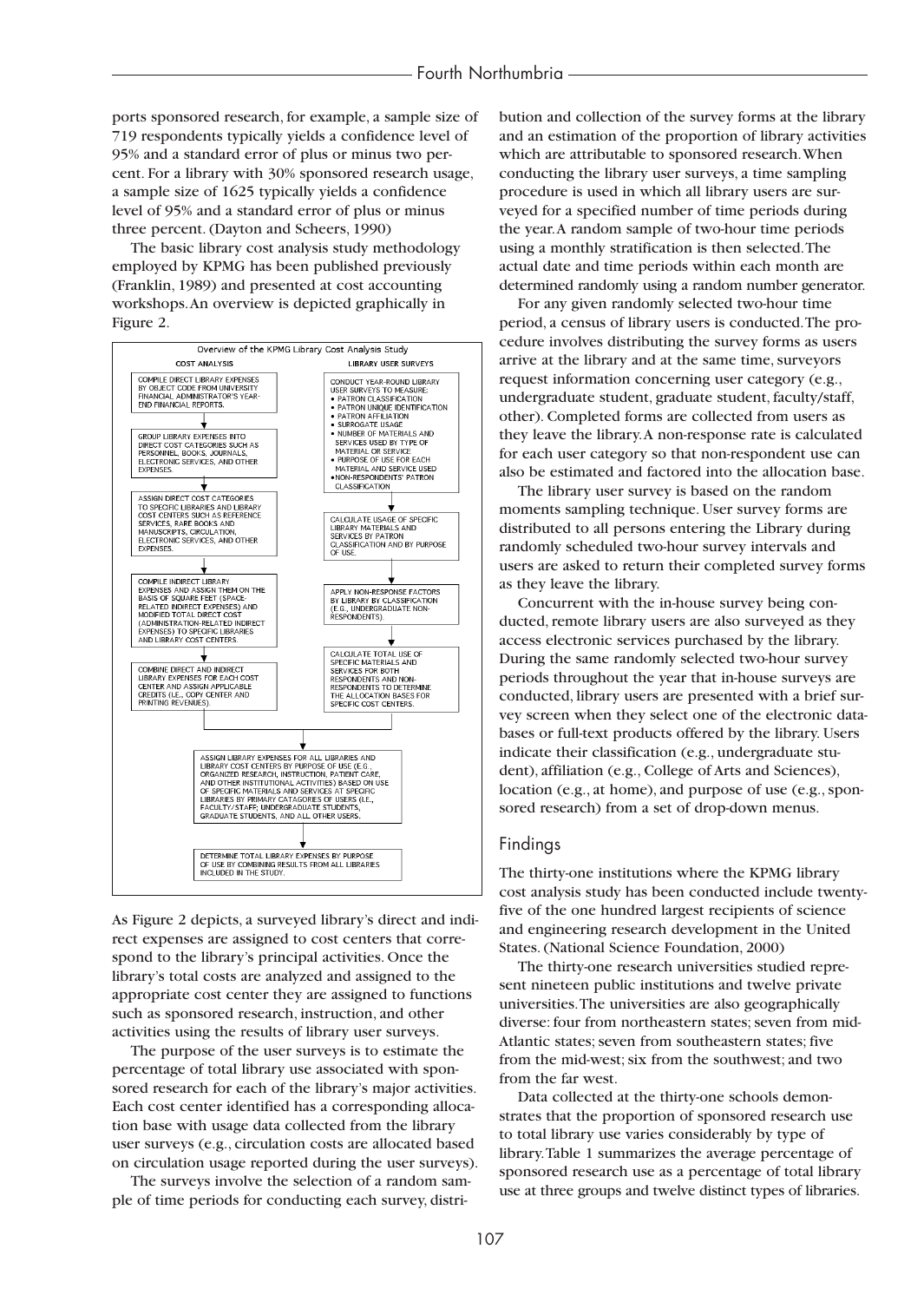ports sponsored research, for example, a sample size of 719 respondents typically yields a confidence level of 95% and a standard error of plus or minus two percent. For a library with 30% sponsored research usage, a sample size of 1625 typically yields a confidence level of 95% and a standard error of plus or minus three percent. (Dayton and Scheers, 1990)

The basic library cost analysis study methodology employed by KPMG has been published previously (Franklin, 1989) and presented at cost accounting workshops.An overview is depicted graphically in Figure 2.



As Figure 2 depicts, a surveyed library's direct and indirect expenses are assigned to cost centers that correspond to the library's principal activities. Once the library's total costs are analyzed and assigned to the appropriate cost center they are assigned to functions such as sponsored research, instruction, and other activities using the results of library user surveys.

The purpose of the user surveys is to estimate the percentage of total library use associated with sponsored research for each of the library's major activities. Each cost center identified has a corresponding allocation base with usage data collected from the library user surveys (e.g., circulation costs are allocated based on circulation usage reported during the user surveys).

The surveys involve the selection of a random sample of time periods for conducting each survey, distribution and collection of the survey forms at the library and an estimation of the proportion of library activities which are attributable to sponsored research.When conducting the library user surveys, a time sampling procedure is used in which all library users are surveyed for a specified number of time periods during the year.A random sample of two-hour time periods using a monthly stratification is then selected.The actual date and time periods within each month are determined randomly using a random number generator.

For any given randomly selected two-hour time period, a census of library users is conducted.The procedure involves distributing the survey forms as users arrive at the library and at the same time, surveyors request information concerning user category (e.g., undergraduate student, graduate student, faculty/staff, other). Completed forms are collected from users as they leave the library.A non-response rate is calculated for each user category so that non-respondent use can also be estimated and factored into the allocation base.

The library user survey is based on the random moments sampling technique. User survey forms are distributed to all persons entering the Library during randomly scheduled two-hour survey intervals and users are asked to return their completed survey forms as they leave the library.

Concurrent with the in-house survey being conducted, remote library users are also surveyed as they access electronic services purchased by the library. During the same randomly selected two-hour survey periods throughout the year that in-house surveys are conducted, library users are presented with a brief survey screen when they select one of the electronic databases or full-text products offered by the library. Users indicate their classification (e.g., undergraduate student), affiliation (e.g., College of Arts and Sciences), location (e.g., at home), and purpose of use (e.g., sponsored research) from a set of drop-down menus.

#### Findings

The thirty-one institutions where the KPMG library cost analysis study has been conducted include twentyfive of the one hundred largest recipients of science and engineering research development in the United States. (National Science Foundation, 2000)

The thirty-one research universities studied represent nineteen public institutions and twelve private universities.The universities are also geographically diverse: four from northeastern states; seven from mid-Atlantic states; seven from southeastern states; five from the mid-west; six from the southwest; and two from the far west.

Data collected at the thirty-one schools demonstrates that the proportion of sponsored research use to total library use varies considerably by type of library.Table 1 summarizes the average percentage of sponsored research use as a percentage of total library use at three groups and twelve distinct types of libraries.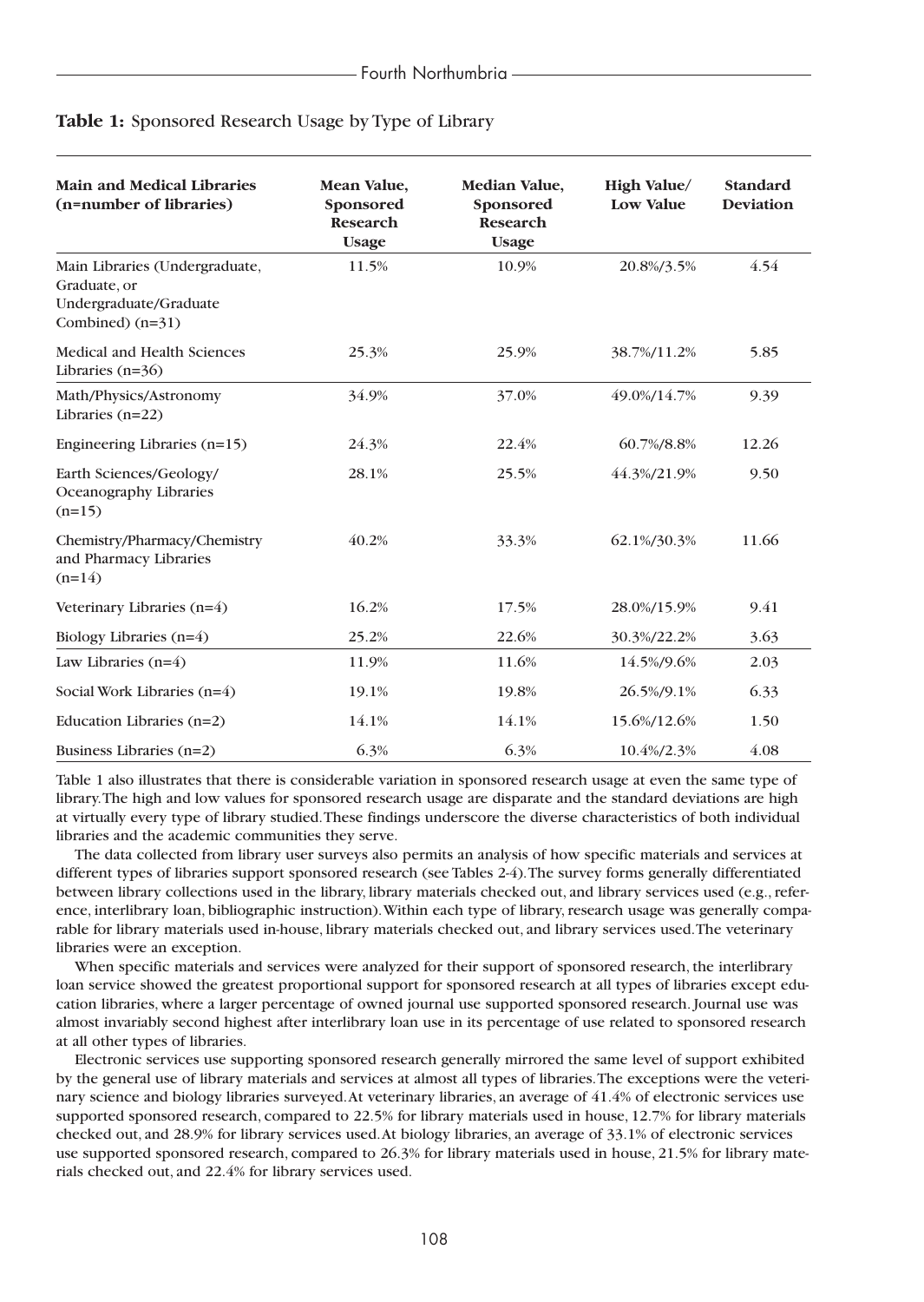| <b>Main and Medical Libraries</b><br>(n=number of libraries)                                   | Mean Value,<br>Sponsored<br><b>Research</b><br><b>Usage</b> | Median Value,<br>Sponsored<br><b>Research</b><br><b>Usage</b> | High Value/<br><b>Low Value</b> | <b>Standard</b><br><b>Deviation</b> |
|------------------------------------------------------------------------------------------------|-------------------------------------------------------------|---------------------------------------------------------------|---------------------------------|-------------------------------------|
| Main Libraries (Undergraduate,<br>Graduate, or<br>Undergraduate/Graduate<br>Combined) $(n=31)$ | 11.5%                                                       | 10.9%                                                         | 20.8%/3.5%                      | 4.54                                |
| <b>Medical and Health Sciences</b><br>Libraries $(n=36)$                                       | 25.3%                                                       | 25.9%                                                         | 38.7%/11.2%                     | 5.85                                |
| Math/Physics/Astronomy<br>Libraries $(n=22)$                                                   | 34.9%                                                       | 37.0%                                                         | 49.0%/14.7%                     | 9.39                                |
| Engineering Libraries $(n=15)$                                                                 | 24.3%                                                       | 22.4%                                                         | 60.7%/8.8%                      | 12.26                               |
| Earth Sciences/Geology/<br>Oceanography Libraries<br>$(n=15)$                                  | 28.1%                                                       | 25.5%                                                         | 44.3%/21.9%                     | 9.50                                |
| Chemistry/Pharmacy/Chemistry<br>and Pharmacy Libraries<br>$(n=14)$                             | 40.2%                                                       | 33.3%                                                         | 62.1%/30.3%                     | 11.66                               |
| Veterinary Libraries (n=4)                                                                     | 16.2%                                                       | 17.5%                                                         | 28.0%/15.9%                     | 9.41                                |
| Biology Libraries (n=4)                                                                        | 25.2%                                                       | 22.6%                                                         | 30.3%/22.2%                     | 3.63                                |
| Law Libraries $(n=4)$                                                                          | 11.9%                                                       | 11.6%                                                         | 14.5%/9.6%                      | 2.03                                |
| Social Work Libraries $(n=4)$                                                                  | 19.1%                                                       | 19.8%                                                         | 26.5%/9.1%                      | 6.33                                |
| Education Libraries $(n=2)$                                                                    | 14.1%                                                       | 14.1%                                                         | 15.6%/12.6%                     | 1.50                                |
| Business Libraries (n=2)                                                                       | 6.3%                                                        | 6.3%                                                          | 10.4%/2.3%                      | 4.08                                |

#### **Table 1:** Sponsored Research Usage by Type of Library

Table 1 also illustrates that there is considerable variation in sponsored research usage at even the same type of library.The high and low values for sponsored research usage are disparate and the standard deviations are high at virtually every type of library studied.These findings underscore the diverse characteristics of both individual libraries and the academic communities they serve.

The data collected from library user surveys also permits an analysis of how specific materials and services at different types of libraries support sponsored research (see Tables 2-4).The survey forms generally differentiated between library collections used in the library, library materials checked out, and library services used (e.g., reference, interlibrary loan, bibliographic instruction).Within each type of library, research usage was generally comparable for library materials used in-house, library materials checked out, and library services used.The veterinary libraries were an exception.

When specific materials and services were analyzed for their support of sponsored research, the interlibrary loan service showed the greatest proportional support for sponsored research at all types of libraries except education libraries, where a larger percentage of owned journal use supported sponsored research. Journal use was almost invariably second highest after interlibrary loan use in its percentage of use related to sponsored research at all other types of libraries.

Electronic services use supporting sponsored research generally mirrored the same level of support exhibited by the general use of library materials and services at almost all types of libraries.The exceptions were the veterinary science and biology libraries surveyed.At veterinary libraries, an average of 41.4% of electronic services use supported sponsored research, compared to 22.5% for library materials used in house, 12.7% for library materials checked out, and 28.9% for library services used.At biology libraries, an average of 33.1% of electronic services use supported sponsored research, compared to 26.3% for library materials used in house, 21.5% for library materials checked out, and 22.4% for library services used.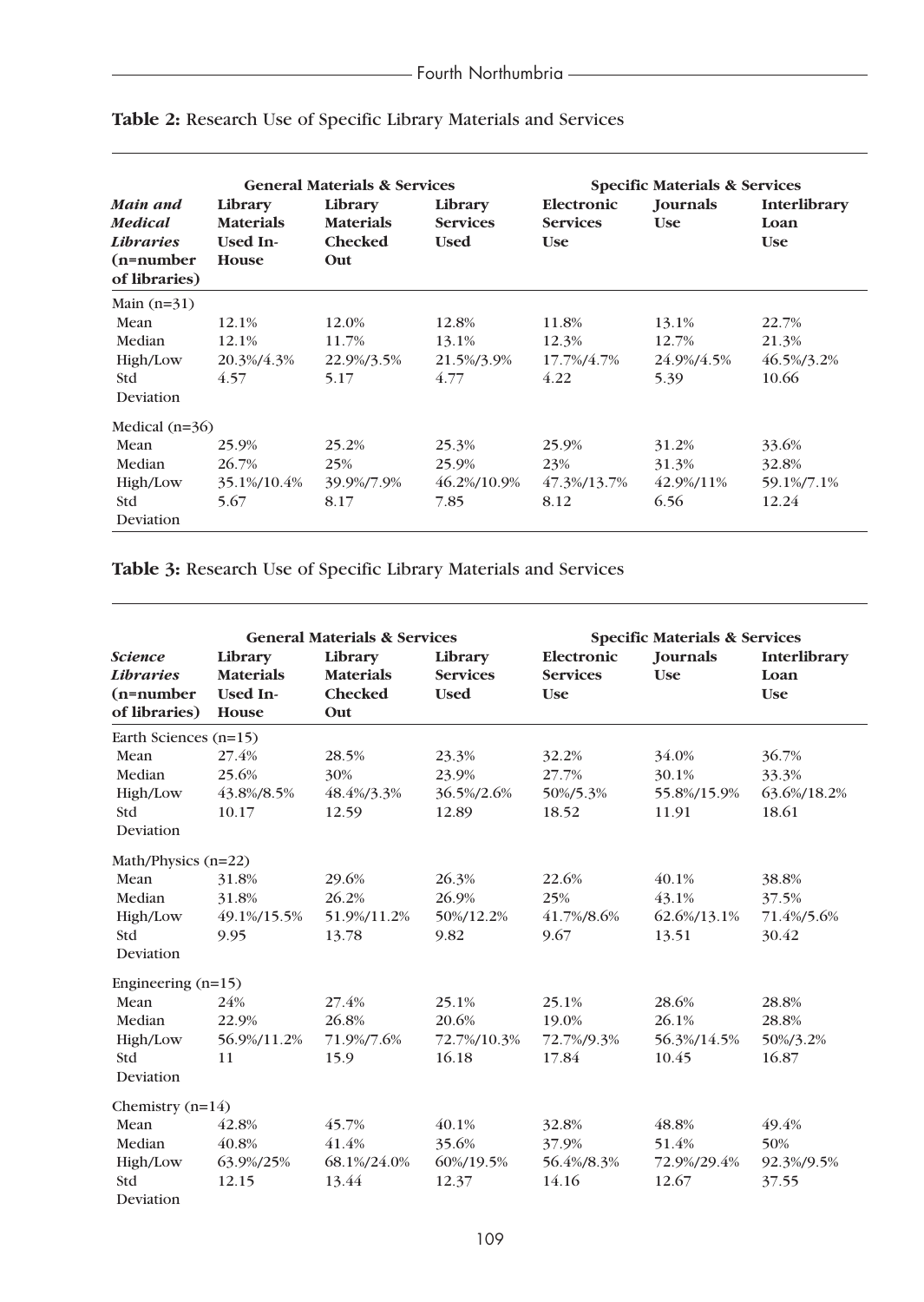|                                                                                 | <b>General Materials &amp; Services</b>                        |                                                      |                                           | <b>Specific Materials &amp; Services</b>    |                               |                                    |
|---------------------------------------------------------------------------------|----------------------------------------------------------------|------------------------------------------------------|-------------------------------------------|---------------------------------------------|-------------------------------|------------------------------------|
| Main and<br><b>Medical</b><br><i>Libraries</i><br>$(n=number)$<br>of libraries) | Library<br><b>Materials</b><br><b>Used In-</b><br><b>House</b> | Library<br><b>Materials</b><br><b>Checked</b><br>Out | Library<br><b>Services</b><br><b>Used</b> | Electronic<br><b>Services</b><br><b>Use</b> | <b>Journals</b><br><b>Use</b> | Interlibrary<br>Loan<br><b>Use</b> |
| Main $(n=31)$                                                                   |                                                                |                                                      |                                           |                                             |                               |                                    |
| Mean                                                                            | 12.1%                                                          | 12.0%                                                | 12.8%                                     | 11.8%                                       | 13.1%                         | 22.7%                              |
| Median                                                                          | 12.1%                                                          | 11.7%                                                | 13.1%                                     | 12.3%                                       | 12.7%                         | 21.3%                              |
| High/Low                                                                        | 20.3%/4.3%                                                     | 22.9%/3.5%                                           | 21.5%/3.9%                                | 17.7%/4.7%                                  | 24.9%/4.5%                    | 46.5%/3.2%                         |
| <b>Std</b>                                                                      | 4.57                                                           | 5.17                                                 | 4.77                                      | 4.22                                        | 5.39                          | 10.66                              |
| Deviation                                                                       |                                                                |                                                      |                                           |                                             |                               |                                    |
| Medical $(n=36)$                                                                |                                                                |                                                      |                                           |                                             |                               |                                    |
| Mean                                                                            | 25.9%                                                          | 25.2%                                                | 25.3%                                     | 25.9%                                       | 31.2%                         | 33.6%                              |
| Median                                                                          | 26.7%                                                          | 25%                                                  | 25.9%                                     | 23%                                         | 31.3%                         | 32.8%                              |
| High/Low                                                                        | 35.1%/10.4%                                                    | 39.9%/7.9%                                           | 46.2%/10.9%                               | 47.3%/13.7%                                 | 42.9%/11%                     | 59.1%/7.1%                         |
| <b>Std</b>                                                                      | 5.67                                                           | 8.17                                                 | 7.85                                      | 8.12                                        | 6.56                          | 12.24                              |
| Deviation                                                                       |                                                                |                                                      |                                           |                                             |                               |                                    |

# **Table 2:** Research Use of Specific Library Materials and Services

**Table 3:** Research Use of Specific Library Materials and Services

| <b>General Materials &amp; Services</b> |                                 |                             | <b>Specific Materials &amp; Services</b> |                               |                        |                      |
|-----------------------------------------|---------------------------------|-----------------------------|------------------------------------------|-------------------------------|------------------------|----------------------|
| <b>Science</b><br><b>Libraries</b>      | Library<br><b>Materials</b>     | Library<br><b>Materials</b> | Library<br><b>Services</b>               | Electronic<br><b>Services</b> | Journals<br><b>Use</b> | Interlibrary<br>Loan |
| $(n=number)$<br>of libraries)           | <b>Used In-</b><br><b>House</b> | <b>Checked</b><br>Out       | <b>Used</b>                              | <b>Use</b>                    |                        | <b>Use</b>           |
| Earth Sciences (n=15)                   |                                 |                             |                                          |                               |                        |                      |
| Mean                                    | 27.4%                           | 28.5%                       | 23.3%                                    | 32.2%                         | 34.0%                  | 36.7%                |
| Median                                  | 25.6%                           | 30%                         | 23.9%                                    | 27.7%                         | 30.1%                  | 33.3%                |
| High/Low                                | 43.8%/8.5%                      | 48.4%/3.3%                  | 36.5%/2.6%                               | 50%/5.3%                      | 55.8%/15.9%            | 63.6%/18.2%          |
| Std                                     | 10.17                           | 12.59                       | 12.89                                    | 18.52                         | 11.91                  | 18.61                |
| Deviation                               |                                 |                             |                                          |                               |                        |                      |
| Math/Physics (n=22)                     |                                 |                             |                                          |                               |                        |                      |
| Mean                                    | 31.8%                           | 29.6%                       | 26.3%                                    | 22.6%                         | 40.1%                  | 38.8%                |
| Median                                  | 31.8%                           | 26.2%                       | 26.9%                                    | 25%                           | 43.1%                  | 37.5%                |
| High/Low                                | 49.1%/15.5%                     | 51.9%/11.2%                 | 50%/12.2%                                | 41.7%/8.6%                    | 62.6%/13.1%            | 71.4%/5.6%           |
| <b>Std</b>                              | 9.95                            | 13.78                       | 9.82                                     | 9.67                          | 13.51                  | 30.42                |
| Deviation                               |                                 |                             |                                          |                               |                        |                      |
| Engineering $(n=15)$                    |                                 |                             |                                          |                               |                        |                      |
| Mean                                    | 24%                             | 27.4%                       | 25.1%                                    | 25.1%                         | 28.6%                  | 28.8%                |
| Median                                  | 22.9%                           | 26.8%                       | 20.6%                                    | 19.0%                         | 26.1%                  | 28.8%                |
| High/Low                                | 56.9%/11.2%                     | 71.9%/7.6%                  | 72.7%/10.3%                              | 72.7%/9.3%                    | 56.3%/14.5%            | 50%/3.2%             |
| Std                                     | 11                              | 15.9                        | 16.18                                    | 17.84                         | 10.45                  | 16.87                |
| Deviation                               |                                 |                             |                                          |                               |                        |                      |
| Chemistry $(n=14)$                      |                                 |                             |                                          |                               |                        |                      |
| Mean                                    | 42.8%                           | 45.7%                       | 40.1%                                    | 32.8%                         | 48.8%                  | 49.4%                |
| Median                                  | 40.8%                           | 41.4%                       | 35.6%                                    | 37.9%                         | 51.4%                  | 50%                  |
| High/Low                                | 63.9%/25%                       | 68.1%/24.0%                 | 60%/19.5%                                | 56.4%/8.3%                    | 72.9%/29.4%            | 92.3%/9.5%           |
| Std                                     | 12.15                           | 13.44                       | 12.37                                    | 14.16                         | 12.67                  | 37.55                |
| Deviation                               |                                 |                             |                                          |                               |                        |                      |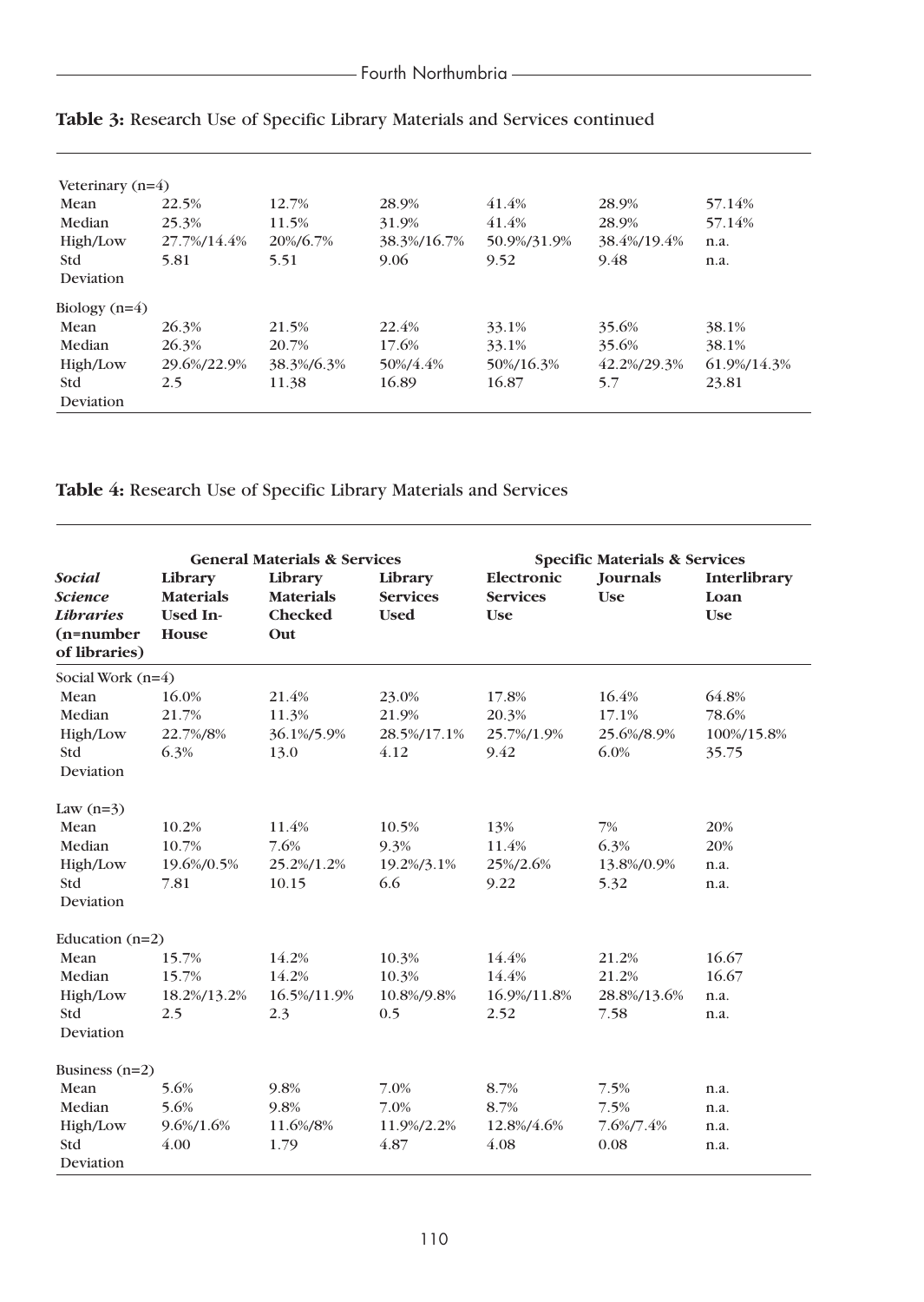| Veterinary $(n=4)$ |             |            |             |             |             |             |
|--------------------|-------------|------------|-------------|-------------|-------------|-------------|
| Mean               | 22.5%       | 12.7%      | 28.9%       | 41.4%       | 28.9%       | 57.14%      |
| Median             | 25.3%       | 11.5%      | 31.9%       | 41.4%       | 28.9%       | 57.14%      |
| High/Low           | 27.7%/14.4% | 20%/6.7%   | 38.3%/16.7% | 50.9%/31.9% | 38.4%/19.4% | n.a.        |
| <b>Std</b>         | 5.81        | 5.51       | 9.06        | 9.52        | 9.48        | n.a.        |
| Deviation          |             |            |             |             |             |             |
| Biology $(n=4)$    |             |            |             |             |             |             |
| Mean               | 26.3%       | 21.5%      | 22.4%       | 33.1%       | 35.6%       | 38.1%       |
| Median             | 26.3%       | 20.7%      | 17.6%       | 33.1%       | 35.6%       | 38.1%       |
| High/Low           | 29.6%/22.9% | 38.3%/6.3% | 50%/4.4%    | 50%/16.3%   | 42.2%/29.3% | 61.9%/14.3% |
| <b>Std</b>         | 2.5         | 11.38      | 16.89       | 16.87       | 5.7         | 23.81       |
| Deviation          |             |            |             |             |             |             |

# **Table 3:** Research Use of Specific Library Materials and Services continued

**Table 4:** Research Use of Specific Library Materials and Services

| <b>General Materials &amp; Services</b>                                              |                                                         |                                               | <b>Specific Materials &amp; Services</b>  |                                             |                                       |                                       |
|--------------------------------------------------------------------------------------|---------------------------------------------------------|-----------------------------------------------|-------------------------------------------|---------------------------------------------|---------------------------------------|---------------------------------------|
| <b>Social</b><br><b>Science</b><br><b>Libraries</b><br>$(n=number)$<br>of libraries) | Library<br><b>Materials</b><br><b>Used In-</b><br>House | Library<br><b>Materials</b><br>Checked<br>Out | Library<br><b>Services</b><br><b>Used</b> | Electronic<br><b>Services</b><br><b>Use</b> | Journals<br><b>Use</b>                | Interlibrary<br>Loan<br><b>Use</b>    |
| Social Work (n=4)                                                                    |                                                         |                                               |                                           |                                             |                                       |                                       |
| Mean<br>Median<br>High/Low<br><b>Std</b><br>Deviation                                | 16.0%<br>21.7%<br>22.7%/8%<br>6.3%                      | 21.4%<br>11.3%<br>36.1%/5.9%<br>13.0          | 23.0%<br>21.9%<br>28.5%/17.1%<br>4.12     | 17.8%<br>20.3%<br>25.7%/1.9%<br>9.42        | 16.4%<br>17.1%<br>25.6%/8.9%<br>6.0%  | 64.8%<br>78.6%<br>100%/15.8%<br>35.75 |
| Law $(n=3)$                                                                          |                                                         |                                               |                                           |                                             |                                       |                                       |
| Mean<br>Median<br>High/Low<br>Std<br>Deviation                                       | 10.2%<br>10.7%<br>19.6%/0.5%<br>7.81                    | 11.4%<br>7.6%<br>25.2%/1.2%<br>10.15          | 10.5%<br>9.3%<br>19.2%/3.1%<br>6.6        | 13%<br>11.4%<br>25%/2.6%<br>9.22            | 7%<br>6.3%<br>13.8%/0.9%<br>5.32      | 20%<br>20%<br>n.a.<br>n.a.            |
| Education $(n=2)$                                                                    |                                                         |                                               |                                           |                                             |                                       |                                       |
| Mean<br>Median<br>High/Low<br><b>Std</b><br>Deviation                                | 15.7%<br>15.7%<br>18.2%/13.2%<br>2.5                    | 14.2%<br>14.2%<br>16.5%/11.9%<br>2.3          | 10.3%<br>10.3%<br>10.8%/9.8%<br>0.5       | 14.4%<br>14.4%<br>16.9%/11.8%<br>2.52       | 21.2%<br>21.2%<br>28.8%/13.6%<br>7.58 | 16.67<br>16.67<br>n.a.<br>n.a.        |
| Business $(n=2)$                                                                     |                                                         |                                               |                                           |                                             |                                       |                                       |
| Mean<br>Median<br>High/Low<br><b>Std</b>                                             | 5.6%<br>5.6%<br>9.6%/1.6%<br>4.00                       | 9.8%<br>9.8%<br>11.6%/8%<br>1.79              | 7.0%<br>7.0%<br>11.9%/2.2%<br>4.87        | 8.7%<br>8.7%<br>12.8%/4.6%<br>4.08          | 7.5%<br>7.5%<br>7.6%/7.4%<br>0.08     | n.a.<br>n.a.<br>n.a.<br>n.a.          |
| Deviation                                                                            |                                                         |                                               |                                           |                                             |                                       |                                       |